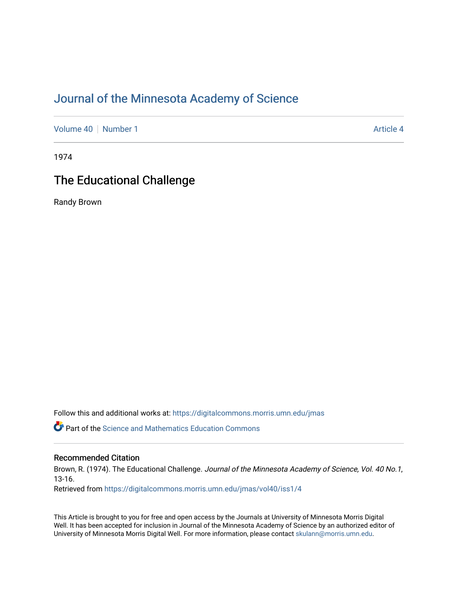## [Journal of the Minnesota Academy of Science](https://digitalcommons.morris.umn.edu/jmas)

[Volume 40](https://digitalcommons.morris.umn.edu/jmas/vol40) [Number 1](https://digitalcommons.morris.umn.edu/jmas/vol40/iss1) Article 4

1974

# The Educational Challenge

Randy Brown

Follow this and additional works at: [https://digitalcommons.morris.umn.edu/jmas](https://digitalcommons.morris.umn.edu/jmas?utm_source=digitalcommons.morris.umn.edu%2Fjmas%2Fvol40%2Fiss1%2F4&utm_medium=PDF&utm_campaign=PDFCoverPages) 

*O* Part of the Science and Mathematics Education Commons

## Recommended Citation

Brown, R. (1974). The Educational Challenge. Journal of the Minnesota Academy of Science, Vol. 40 No.1, 13-16.

Retrieved from [https://digitalcommons.morris.umn.edu/jmas/vol40/iss1/4](https://digitalcommons.morris.umn.edu/jmas/vol40/iss1/4?utm_source=digitalcommons.morris.umn.edu%2Fjmas%2Fvol40%2Fiss1%2F4&utm_medium=PDF&utm_campaign=PDFCoverPages)

This Article is brought to you for free and open access by the Journals at University of Minnesota Morris Digital Well. It has been accepted for inclusion in Journal of the Minnesota Academy of Science by an authorized editor of University of Minnesota Morris Digital Well. For more information, please contact [skulann@morris.umn.edu](mailto:skulann@morris.umn.edu).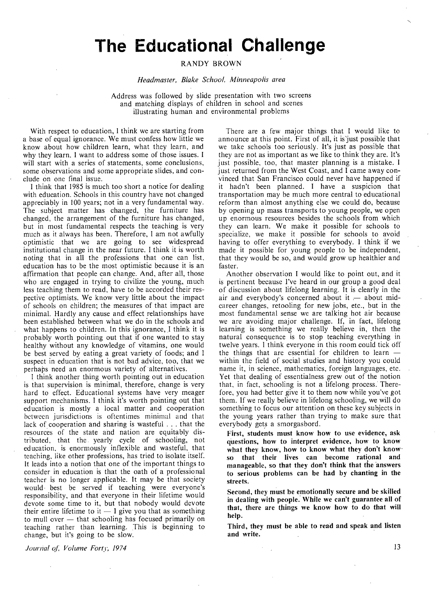# **The Educational Challenge**

### **RANDY BROWN**

### *Headmaster, Blake School, Minneapolis area*

Address was followed by slide presentation with two screens and matching displays of children in school and scenes illustrating human and environmental problems

With respect to education, 1 think we are starting from a base of equal ignorance. We must confess how little we know about how children learn, what they learn, and why they learn. I want to address some of those issues. I will start with a series of statements, some conclusions, some observations and some appropriate slides, and conclude on one final issue.

I think that 1985 is much too short a notice for dealing with education. Schools in this country have not changed appreciably in 100 years; not in a very fundamental way. The subject matter has changed, the furniture has changed, the arrangement of the furniture has changed, but in most fundamental respects the teaching is very much as it always has been. Therefore, I am not awfully optimistic that we are going to see widespread institutional change in the near future. I think it is worth noting that in all the professions that one can list. education has to be the most optimistic because it is an affirmation that people can change. And, after all, those who are engaged in trying to civilize the young, much less teaching them to read, have to be accorded their respective optimists. We know very little about the impact of schools on children; the measures of that impact are minimal. Hardly any cause and effect relationships have been established between what we do in the schools and what happens to children. In this ignorance, I think it is probably worth pointing out that if one wanted to stay healthy without any knowledge of vitamins, one would be best served by eating a great variety of foods; and I suspect in education that is not bad advice, too, that we perhaps need an enormous variety of alternatives.

I think another thing worth pointing out in education is that supervision is minimal, therefore, change is very hard to effect. Educational systems have very meager support mechanisms. I think it's worth pointing out that education is mostly a local matter and cooperation between jurisdictions is oftentimes minimal and that lack of cooperation and sharing is wasteful ... that the resources of the state and nation are equitably distributed, that the yearly cycle of schooling, not education, is enormously inflexible and wasteful, that teaching, like other professions, has tried to isolate itself. It leads into a notion that one of the important things to consider in education is that the oath of a professional teacher is no longer applicable. It may be that society would, best be served if teaching were everyone's responsibility, and that everyone in their lifetime would devote some time to it, but that nobody would devote their entire lifetime to it  $-1$  give you that as something to mull over  $-$  that schooling has focused primarily on teaching rather than learning. This is beginning to change, but it's going to be slow.

There are a few major things that I would like to announce at this point. First of all, it is just possible that we take schools too seriously. It's just as possible that they are not as important as we like to think they are. It's just possible, too, that master planning is a mistake. I just returned from the West Coast, and I came away convinced that San Francisco could never have happened if it hadn't been planned. I have a suspicion that transportation may be much more central to educational reform than almost anything else we could do, because by opening up mass transports to young people, we open up enormous resources besides the schools from which they can learn. We make it possible for schools to specialize, we make it possible for schools to avoid having to offer everything to everybody. I think if we made it possible for young people to be independent, that they would be so, and would grow up healthier and faster.

Another observation I would like to point out, and it is pertinent because I've heard in our group a good deal of discussion about lifelong learning. It is clearly in the air and everybody's concerned about it  $-$  about midcareer changes, retooling for new jobs, etc., but in the most fundamental sense we are talking hot air because we are avoiding major challenge. If, in fact, lifelong learning is something we really believe in, then the natural consequence is to stop teaching everything in twelve years. I think everyone in this room could tick off the things that are essential for children to learn  $$ within the field of social studies and history you could name it, in science, mathematics, foreign languages, etc. Yet that dealing of essentialness grew out of the notion that, in fact, schooling is not a lifelong process.' Therefore, you had better give it to them now while you've got them. If we really believe in lifelong schooling, we will do something to focus our attention on these key subjects in the young years rather than trying to make sure that everybody gets a smorgasbord.

**First, students must know how to use evidence, ask**  questions, how to interpret evidence, how to know what they know, how to know what they don't know **so that their lives can become rational and manageable, so that they don't think that the 'answers to serious problems can be had by chanting in the streets.** 

**Second, they must be emotionally secure and be skilled in dealing with people: While we can't guarantee all of**  that, there are things we know how to do that will **help.** 

**Third, they must be able to read and speak and listen and write.** ·

*Jounial of; Volume Forty, 1974*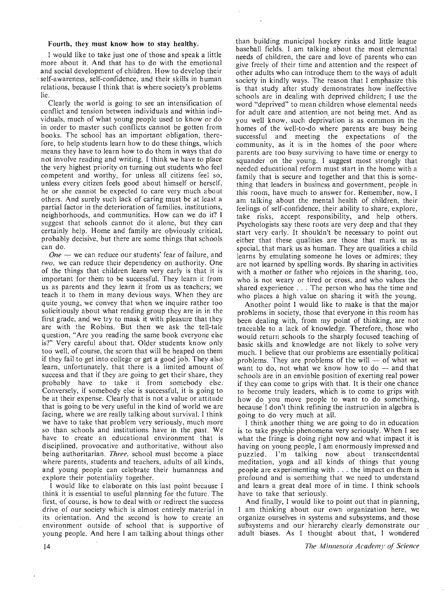### **Fourth, they must know how to stay healthy.**

I would like to take just one of those and speak a little more about it. And that has to do with the emotional and social development of children. How to develop their self-awareness, self-confidence, and their skills in human relations, because I think that is where society's problems lie.

Clearly the world is going to see an intensification of conflict and tension between individuals and within individuals, much of what young people used to know or do in order to master such conflicts cannot be gotten from books. The school has an important obligation, therefore, to help students learn how to do these things, which means they have to learn how to do them in ways that do not involve reading and writing. I think we have to place the very highest priority on turning out students who feel competent and worthy, for unless all citizens feel so, unless every citizen feels good about himself or herself, he or she cannot be expected to care very much about others. And surely such lack of caring must be at least a partial factor in the deterioration of families, institutions, neighborhoods, and communities. How can we do it? I suggest that schools cannot do it alone, but they can certainly help. Home and family are obviously critical, probably decisive, but there are some things that schools can do.

*One* — we can reduce our students' fear of failure, and *two,* we can reduce their dependency on authority. One of the things that children learn very early is that it is important for them to be successful. They learn it from us as parents and they learn it from us as teachers; we teach it to them in many devious ways. When they are quite young, we convey that when we inquire rather too solicitiously about what reading group they are in in the first grade, and we try to mask it with pleasure that they are with the Robins. But then we ask the tell-tale question, "Are you reading the same book everyone else is?" Very careful about that. Older students know only too well, of course, the scorn that will be heaped on them if they fail to get into college or get a good job. They also learn, unfortunately. that there is a limited amount of success and that if they are going to get their share, they probably have to take it from somebody else. Conversely, if somebody else is successful, it is going to be at their expense. Clearly that is not a value or attitude that is going to be very useful in the kind of world we are facing, where we are really talking about survival. I think we have to take that problem very seriously, much more so than schools and institutions have in the. past. We have to create an educational environment that is disciplined. provocative and authoritative, without also being authoritarian. *Three,* school must become a place where parents, students and teachers, adults of all kinds, and young people can celebrate their humanness and explore their potentiality together.

I would like to elaborate on this last point because I think it is essential to useful planning for the future. The first. of course, is how to deal with or redirect the success drive of our society which is almost entirely material in its orientation. And the second is how to create an environment outside of school that is supportive of young people. And here I am talking about things other than building municipal hockey rinks and little league baseball fields. I am talking about the most elemental needs of children, the care and love of parents who can give freely of their time and attention and the respect of other adults who can introduce them to the ways of adult society in kindly ways. The reason that I emphasize this is that study after study demonstrates how ineffective schools are in dealing with deprived children; I use the word "deprived" to mean children whose elemental needs for adult care and attention, are not being met. And as you well know, such deprivation is as common in the homes of the well-to-do where parents are busy being successful and meeting the expectations of the community, as it is in the homes of the poor where parents are too busy surviving to have time or energy to squander on the young. 1 suggest most strongly that needed educational reform must start in the home with a family that is secure and together and that this is something that leaders in business and government, people in this room, have much to answer for. Remember, now, I am talking about the mental health of children, their feelings of self-confidence, their ability to share, explore, take risks, accept responsibility, and help others. Psychologists say these roots are very deep and that they start very early. It shouldn't be necessary to point out either that these qualities are those that mark us as special, that mark us as human. They are qualities a child learns by emulating someone he loves or admires; they are not learned by spelling words. By sharing in activities with a mother or father who rejoices in the sharing, too, who is not weary or tired or cross, and who values the shared experience ... The person who has the time and who places a high value on sharing it with the young.

Another point I would like to make is that the major problems in society, those that everyone in this room has been dealing with, from my point of thinking, are not traceable to a lack of knowledge. Therefore, those who would return schools to the sharply focused teaching of basic skills and knowledge are not likely to solve very much. 1 believe that our problems are essentially political problems. They are problems of the will  $-$  of what we want to do, not what we know how to do  $-$  and that schools are in an enviable position of exerting real power if they can come to grips with that. It is their one chance to become truly leaders, which is to come to grips with how do you move people to want to do something, because' I don't think refining the instruction in algebra is going to do very much at all.

I think another thing we are going to do in education is to take psychic- phenomena very seriously. When I see what the fringe is doing right now and what impact it is having on young people, I am enormously impressed and puzzled. I'm talking now about transcendental meditation, yoga and all kinds of things that young people are experimenting with ... the impact on them is profound and is something that we need to understand and learn a great deal more of in time. I think schools have to take that seriously.

And finally, I would like to point out that in planning, I am thinking about our own organization here, we organize ourselves in systems and subsystems, and those subsystems and our hierarchy clearly demonstrate our adult biases. As I thought about that, I wondered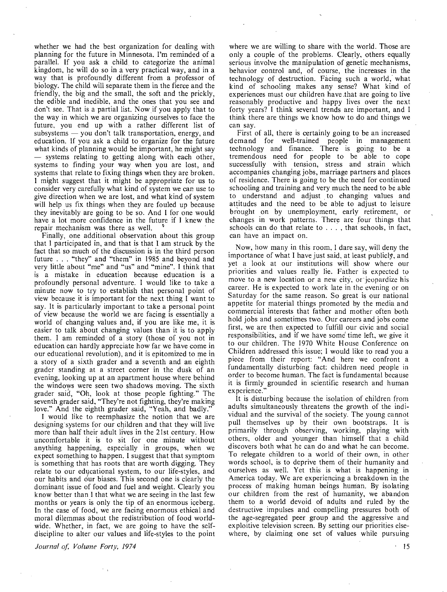whether we had the best organization for dealing with planning for the future in Minnesota. I'm reminded of a parallel. If you ask a child to categorize the animal kingdom, he will do so in a very practical way, and in a way that is profoundly different from a professor of biology. The child will separate them in the fierce and the friendly, the big and the small, the soft and the prickly, the edible and inedible, and the ones that you see and don't see. That is a partial list. Now if you apply that to the way in which we are organizing ourselves to face the future, you end up with a rather different list of  $subsystems$   $-$  you don't talk transportation, energy, and education. If you ask a child to organize for the future what kinds of planning would be important, he might say  $-$  systems relating to getting along with each other, systems to finding your way when you are lost, and systems that relate to fixing things when they are broken. I might suggest that it might be appropriate for us to consider very carefully what kind of system we car. use to give direction when we are lost, and what kind of system will help us fix things when they are fouled up because they inevitably are going to be so. And I for one would have a lot more confidence in the future if I knew the repair mechanism was there as well.

Finally, one additional observation about this group that I participated in, and that is that I am struck by the fact that so much of the discussion is in the third person future ... "they" and "them" in 1985 and beyond and very little about "me" and "us" and "mine". I think that is a mistake in education because education is a profoundly personal adventure. I would like to take a minute now to try to establish that personal point of view because it is important for the next thing I want to say. It is particularly important to take a personal point of view because the world we are facing is essentially a world of changing values and, if you are like me, it is easier to talk about changing values than it is to apply them. I am reminded of a story (those of you not in education can hardly appreciate how far we have come in our educational revolution), and it is epitomized to me in a story of a sixth grader and a seventh and an eighth grader standing at a street corner in the dusk of an evening, looking up at an apartment house where behind the windows were seen two shadows moving. The sixth grader said, "Oh, look at those people fighting." The seventh grader said, "They're not fighting, they're making love." And the eighth grader said, "Yeah, and badly."

I would like to reemphasize the notion that we are designing systems for our children and that they will live more than half their adult lives in the 21st century. How uncomfortable it is to sit for one minute without anything happening, especially in groups, when we expect something to happen. I suggest that that symptom is something that has roots that are worth digging. They relate to our educational system, to our life-styles, and our habits and our biases. This second one is clearly the dominant issue of food and fuel and weight. Clearly you know better than I that what we are seeing in the last few months or years is only the tip of an enormous iceberg. In the case of food, we are facing enormous ethical and moral dilemmas about the redistribution of food worldwide. Whether, in fact, we are going to have the selfdiscipline to alter our values and life-styles to the point

*Journal of; Volume Forty, 1974* 

where we are willing to share with the world. Those are only a couple of the problems. Clearly, others equally serious involve the manipulation of genetic mechanisms, behavior control and, of course, the increases in the technology of destruction. Facing such a world, what kind of schooling makes any sense? What kind of experiences must our children have that are going to live reasonably productive and happy lives over the next forty years? I think several trends are important, and I think there are things we know how to do and things we can say.

First of all, there is certainly going to be an increased demand for well-trained people in management technology and finance. There is going to be a tremendous need for people to be able to cope successfully with tension, stress and strain which accompanies changing jobs, marriage partners and places of residence. There is going to be the need for continued schooling and training and very much the need to be able to understand and adjust to changing values and attitudes and the need to be able to adjust to leisure brought on by unemployment, early retirement, or changes in work patterns. There are four things that schools can do that relate to ... , that schools, in fact, can have an impact on.

Now, how many in this room, I dare say, will deny the importance of what I have just said, at least publicly, and yet a look at our institutions will show where our priorities and values really lie. Father is expected to move to a new location or a new city, or·jcopardize his career. He is expected to work late in the evening or on Saturday for the same reason. So great is our national appetite for material things promoted by the media and commercial interests that father and mother often both hold jobs and sometimes two. Our careers and jobs come first, we are then expected to fulfill our civic and social responsibilities, and if we have some' time left, we give it to our children. The 1970 White House Conference on Children addressed this issue; I would like to read you a piece from their report: "And here we confront a fundamentally disturbing fact: children need people in order to become human. The fact is fundamental because it is firmly grounded in scientific research and human experience."

It is disturbing because the isolation of children from adults simultaneously threatens the growth of the individual and the survival of the society. The young cannot pull themselves up by their own bootstraps. It is primarily through observing, working, playing with others, older and younger than himself that a child discovers both what he can do and what he can become. To relegate children to a world of their own, in other words school, is to deprive them of their humanity and ourselves as well. Yet this is what is happening in America today. We are experiencing a breakdown in the process of making human beings hurnan. By isolating our children from the rest of humanity, we abandon them to a world devoid of adults and ruled by the destructive impulses and compelling pressures both of the age-segregated peer group and the aggressive and exploitive television screen. By setting our priorities elsewhere, by claiming one set of values while pursuing

' 15